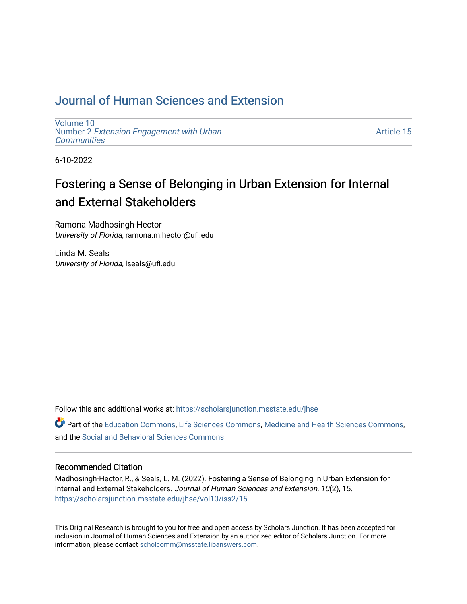# [Journal of Human Sciences and Extension](https://scholarsjunction.msstate.edu/jhse)

[Volume 10](https://scholarsjunction.msstate.edu/jhse/vol10) Number 2 [Extension Engagement with Urban](https://scholarsjunction.msstate.edu/jhse/vol10/iss2) **[Communities](https://scholarsjunction.msstate.edu/jhse/vol10/iss2)** 

[Article 15](https://scholarsjunction.msstate.edu/jhse/vol10/iss2/15) 

6-10-2022

# Fostering a Sense of Belonging in Urban Extension for Internal and External Stakeholders

Ramona Madhosingh-Hector University of Florida, ramona.m.hector@ufl.edu

Linda M. Seals University of Florida, lseals@ufl.edu

Follow this and additional works at: [https://scholarsjunction.msstate.edu/jhse](https://scholarsjunction.msstate.edu/jhse?utm_source=scholarsjunction.msstate.edu%2Fjhse%2Fvol10%2Fiss2%2F15&utm_medium=PDF&utm_campaign=PDFCoverPages)

Part of the [Education Commons](https://network.bepress.com/hgg/discipline/784?utm_source=scholarsjunction.msstate.edu%2Fjhse%2Fvol10%2Fiss2%2F15&utm_medium=PDF&utm_campaign=PDFCoverPages), [Life Sciences Commons](https://network.bepress.com/hgg/discipline/1016?utm_source=scholarsjunction.msstate.edu%2Fjhse%2Fvol10%2Fiss2%2F15&utm_medium=PDF&utm_campaign=PDFCoverPages), [Medicine and Health Sciences Commons](https://network.bepress.com/hgg/discipline/648?utm_source=scholarsjunction.msstate.edu%2Fjhse%2Fvol10%2Fiss2%2F15&utm_medium=PDF&utm_campaign=PDFCoverPages), and the [Social and Behavioral Sciences Commons](https://network.bepress.com/hgg/discipline/316?utm_source=scholarsjunction.msstate.edu%2Fjhse%2Fvol10%2Fiss2%2F15&utm_medium=PDF&utm_campaign=PDFCoverPages) 

#### Recommended Citation

Madhosingh-Hector, R., & Seals, L. M. (2022). Fostering a Sense of Belonging in Urban Extension for Internal and External Stakeholders. Journal of Human Sciences and Extension, 10(2), 15. [https://scholarsjunction.msstate.edu/jhse/vol10/iss2/15](https://scholarsjunction.msstate.edu/jhse/vol10/iss2/15?utm_source=scholarsjunction.msstate.edu%2Fjhse%2Fvol10%2Fiss2%2F15&utm_medium=PDF&utm_campaign=PDFCoverPages) 

This Original Research is brought to you for free and open access by Scholars Junction. It has been accepted for inclusion in Journal of Human Sciences and Extension by an authorized editor of Scholars Junction. For more information, please contact [scholcomm@msstate.libanswers.com](mailto:scholcomm@msstate.libanswers.com).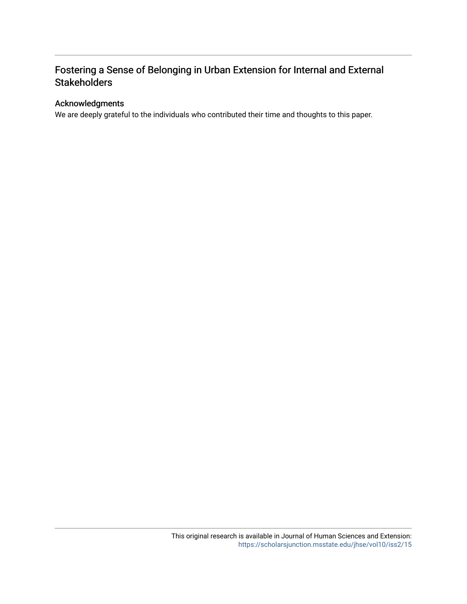# Fostering a Sense of Belonging in Urban Extension for Internal and External **Stakeholders**

## Acknowledgments

We are deeply grateful to the individuals who contributed their time and thoughts to this paper.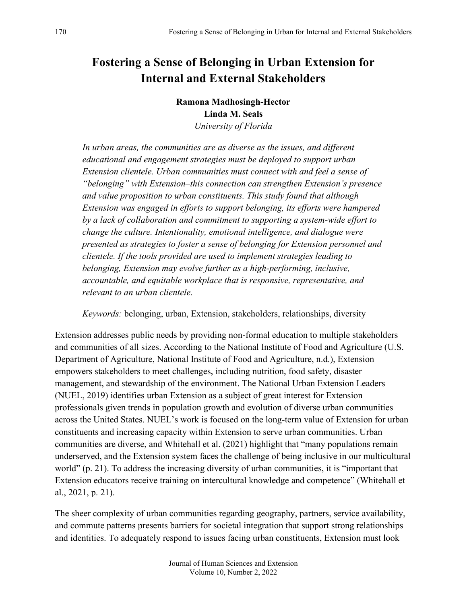# **Fostering a Sense of Belonging in Urban Extension for Internal and External Stakeholders**

**Ramona Madhosingh-Hector Linda M. Seals** *University of Florida*

*In urban areas, the communities are as diverse as the issues, and different educational and engagement strategies must be deployed to support urban Extension clientele. Urban communities must connect with and feel a sense of "belonging" with Extension–this connection can strengthen Extension's presence and value proposition to urban constituents. This study found that although Extension was engaged in efforts to support belonging, its efforts were hampered by a lack of collaboration and commitment to supporting a system-wide effort to change the culture. Intentionality, emotional intelligence, and dialogue were presented as strategies to foster a sense of belonging for Extension personnel and clientele. If the tools provided are used to implement strategies leading to belonging, Extension may evolve further as a high-performing, inclusive, accountable, and equitable workplace that is responsive, representative, and relevant to an urban clientele.*

*Keywords:* belonging, urban, Extension, stakeholders, relationships, diversity

Extension addresses public needs by providing non-formal education to multiple stakeholders and communities of all sizes. According to the National Institute of Food and Agriculture (U.S. Department of Agriculture, National Institute of Food and Agriculture, n.d.), Extension empowers stakeholders to meet challenges, including nutrition, food safety, disaster management, and stewardship of the environment. The National Urban Extension Leaders (NUEL, 2019) identifies urban Extension as a subject of great interest for Extension professionals given trends in population growth and evolution of diverse urban communities across the United States. NUEL's work is focused on the long-term value of Extension for urban constituents and increasing capacity within Extension to serve urban communities. Urban communities are diverse, and Whitehall et al. (2021) highlight that "many populations remain underserved, and the Extension system faces the challenge of being inclusive in our multicultural world" (p. 21). To address the increasing diversity of urban communities, it is "important that Extension educators receive training on intercultural knowledge and competence" (Whitehall et al., 2021, p. 21).

The sheer complexity of urban communities regarding geography, partners, service availability, and commute patterns presents barriers for societal integration that support strong relationships and identities. To adequately respond to issues facing urban constituents, Extension must look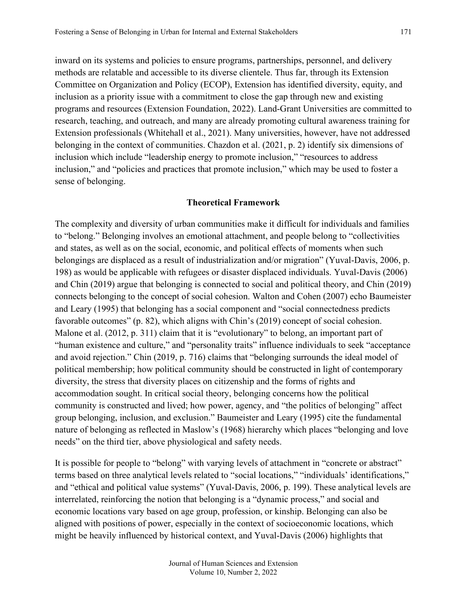inward on its systems and policies to ensure programs, partnerships, personnel, and delivery methods are relatable and accessible to its diverse clientele. Thus far, through its Extension Committee on Organization and Policy (ECOP), Extension has identified diversity, equity, and inclusion as a priority issue with a commitment to close the gap through new and existing programs and resources (Extension Foundation, 2022). Land-Grant Universities are committed to research, teaching, and outreach, and many are already promoting cultural awareness training for Extension professionals (Whitehall et al., 2021). Many universities, however, have not addressed belonging in the context of communities. Chazdon et al. (2021, p. 2) identify six dimensions of inclusion which include "leadership energy to promote inclusion," "resources to address inclusion," and "policies and practices that promote inclusion," which may be used to foster a sense of belonging.

#### **Theoretical Framework**

The complexity and diversity of urban communities make it difficult for individuals and families to "belong." Belonging involves an emotional attachment, and people belong to "collectivities and states, as well as on the social, economic, and political effects of moments when such belongings are displaced as a result of industrialization and/or migration" (Yuval-Davis, 2006, p. 198) as would be applicable with refugees or disaster displaced individuals. Yuval-Davis (2006) and Chin (2019) argue that belonging is connected to social and political theory, and Chin (2019) connects belonging to the concept of social cohesion. Walton and Cohen (2007) echo Baumeister and Leary (1995) that belonging has a social component and "social connectedness predicts favorable outcomes" (p. 82), which aligns with Chin's (2019) concept of social cohesion. Malone et al. (2012, p. 311) claim that it is "evolutionary" to belong, an important part of "human existence and culture," and "personality traits" influence individuals to seek "acceptance and avoid rejection." Chin (2019, p. 716) claims that "belonging surrounds the ideal model of political membership; how political community should be constructed in light of contemporary diversity, the stress that diversity places on citizenship and the forms of rights and accommodation sought. In critical social theory, belonging concerns how the political community is constructed and lived; how power, agency, and "the politics of belonging" affect group belonging, inclusion, and exclusion." Baumeister and Leary (1995) cite the fundamental nature of belonging as reflected in Maslow's (1968) hierarchy which places "belonging and love needs" on the third tier, above physiological and safety needs.

It is possible for people to "belong" with varying levels of attachment in "concrete or abstract" terms based on three analytical levels related to "social locations," "individuals' identifications," and "ethical and political value systems" (Yuval-Davis, 2006, p. 199). These analytical levels are interrelated, reinforcing the notion that belonging is a "dynamic process," and social and economic locations vary based on age group, profession, or kinship. Belonging can also be aligned with positions of power, especially in the context of socioeconomic locations, which might be heavily influenced by historical context, and Yuval-Davis (2006) highlights that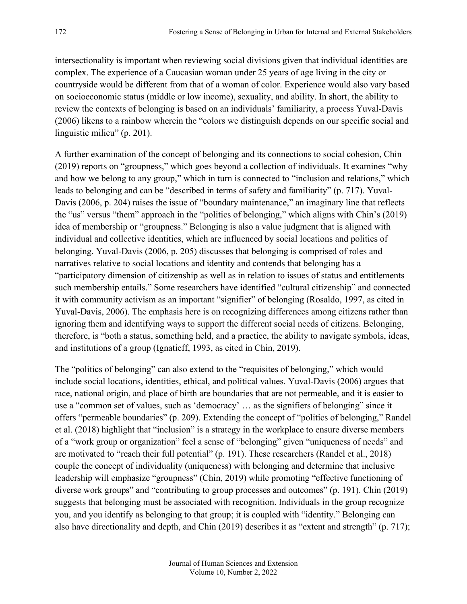intersectionality is important when reviewing social divisions given that individual identities are complex. The experience of a Caucasian woman under 25 years of age living in the city or countryside would be different from that of a woman of color. Experience would also vary based on socioeconomic status (middle or low income), sexuality, and ability. In short, the ability to review the contexts of belonging is based on an individuals' familiarity, a process Yuval-Davis (2006) likens to a rainbow wherein the "colors we distinguish depends on our specific social and linguistic milieu" (p. 201).

A further examination of the concept of belonging and its connections to social cohesion, Chin (2019) reports on "groupness," which goes beyond a collection of individuals. It examines "why and how we belong to any group," which in turn is connected to "inclusion and relations," which leads to belonging and can be "described in terms of safety and familiarity" (p. 717). Yuval-Davis (2006, p. 204) raises the issue of "boundary maintenance," an imaginary line that reflects the "us" versus "them" approach in the "politics of belonging," which aligns with Chin's (2019) idea of membership or "groupness." Belonging is also a value judgment that is aligned with individual and collective identities, which are influenced by social locations and politics of belonging. Yuval-Davis (2006, p. 205) discusses that belonging is comprised of roles and narratives relative to social locations and identity and contends that belonging has a "participatory dimension of citizenship as well as in relation to issues of status and entitlements such membership entails." Some researchers have identified "cultural citizenship" and connected it with community activism as an important "signifier" of belonging (Rosaldo, 1997, as cited in Yuval-Davis, 2006). The emphasis here is on recognizing differences among citizens rather than ignoring them and identifying ways to support the different social needs of citizens. Belonging, therefore, is "both a status, something held, and a practice, the ability to navigate symbols, ideas, and institutions of a group (Ignatieff, 1993, as cited in Chin, 2019).

The "politics of belonging" can also extend to the "requisites of belonging," which would include social locations, identities, ethical, and political values. Yuval-Davis (2006) argues that race, national origin, and place of birth are boundaries that are not permeable, and it is easier to use a "common set of values, such as 'democracy' … as the signifiers of belonging" since it offers "permeable boundaries" (p. 209). Extending the concept of "politics of belonging," Randel et al. (2018) highlight that "inclusion" is a strategy in the workplace to ensure diverse members of a "work group or organization" feel a sense of "belonging" given "uniqueness of needs" and are motivated to "reach their full potential" (p. 191). These researchers (Randel et al., 2018) couple the concept of individuality (uniqueness) with belonging and determine that inclusive leadership will emphasize "groupness" (Chin, 2019) while promoting "effective functioning of diverse work groups" and "contributing to group processes and outcomes" (p. 191). Chin (2019) suggests that belonging must be associated with recognition. Individuals in the group recognize you, and you identify as belonging to that group; it is coupled with "identity." Belonging can also have directionality and depth, and Chin (2019) describes it as "extent and strength" (p. 717);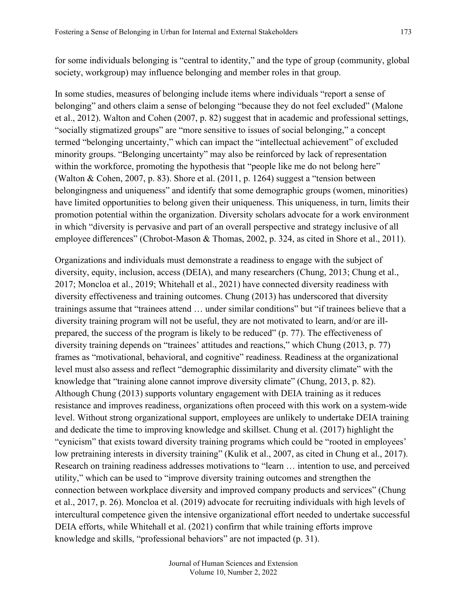for some individuals belonging is "central to identity," and the type of group (community, global society, workgroup) may influence belonging and member roles in that group.

In some studies, measures of belonging include items where individuals "report a sense of belonging" and others claim a sense of belonging "because they do not feel excluded" (Malone et al., 2012). Walton and Cohen (2007, p. 82) suggest that in academic and professional settings, "socially stigmatized groups" are "more sensitive to issues of social belonging," a concept termed "belonging uncertainty," which can impact the "intellectual achievement" of excluded minority groups. "Belonging uncertainty" may also be reinforced by lack of representation within the workforce, promoting the hypothesis that "people like me do not belong here" (Walton & Cohen, 2007, p. 83). Shore et al. (2011, p. 1264) suggest a "tension between belongingness and uniqueness" and identify that some demographic groups (women, minorities) have limited opportunities to belong given their uniqueness. This uniqueness, in turn, limits their promotion potential within the organization. Diversity scholars advocate for a work environment in which "diversity is pervasive and part of an overall perspective and strategy inclusive of all employee differences" (Chrobot-Mason & Thomas, 2002, p. 324, as cited in Shore et al., 2011).

Organizations and individuals must demonstrate a readiness to engage with the subject of diversity, equity, inclusion, access (DEIA), and many researchers (Chung, 2013; Chung et al., 2017; Moncloa et al., 2019; Whitehall et al., 2021) have connected diversity readiness with diversity effectiveness and training outcomes. Chung (2013) has underscored that diversity trainings assume that "trainees attend … under similar conditions" but "if trainees believe that a diversity training program will not be useful, they are not motivated to learn, and/or are illprepared, the success of the program is likely to be reduced" (p. 77). The effectiveness of diversity training depends on "trainees' attitudes and reactions," which Chung (2013, p. 77) frames as "motivational, behavioral, and cognitive" readiness. Readiness at the organizational level must also assess and reflect "demographic dissimilarity and diversity climate" with the knowledge that "training alone cannot improve diversity climate" (Chung, 2013, p. 82). Although Chung (2013) supports voluntary engagement with DEIA training as it reduces resistance and improves readiness, organizations often proceed with this work on a system-wide level. Without strong organizational support, employees are unlikely to undertake DEIA training and dedicate the time to improving knowledge and skillset. Chung et al. (2017) highlight the "cynicism" that exists toward diversity training programs which could be "rooted in employees' low pretraining interests in diversity training" (Kulik et al., 2007, as cited in Chung et al., 2017). Research on training readiness addresses motivations to "learn … intention to use, and perceived utility," which can be used to "improve diversity training outcomes and strengthen the connection between workplace diversity and improved company products and services" (Chung et al., 2017, p. 26). Moncloa et al. (2019) advocate for recruiting individuals with high levels of intercultural competence given the intensive organizational effort needed to undertake successful DEIA efforts, while Whitehall et al. (2021) confirm that while training efforts improve knowledge and skills, "professional behaviors" are not impacted (p. 31).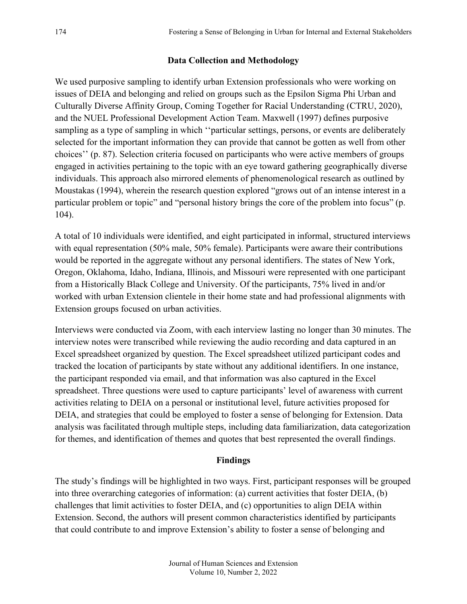## **Data Collection and Methodology**

We used purposive sampling to identify urban Extension professionals who were working on issues of DEIA and belonging and relied on groups such as the Epsilon Sigma Phi Urban and Culturally Diverse Affinity Group, Coming Together for Racial Understanding (CTRU, 2020), and the NUEL Professional Development Action Team. Maxwell (1997) defines purposive sampling as a type of sampling in which ''particular settings, persons, or events are deliberately selected for the important information they can provide that cannot be gotten as well from other choices'' (p. 87). Selection criteria focused on participants who were active members of groups engaged in activities pertaining to the topic with an eye toward gathering geographically diverse individuals. This approach also mirrored elements of phenomenological research as outlined by Moustakas (1994), wherein the research question explored "grows out of an intense interest in a particular problem or topic" and "personal history brings the core of the problem into focus" (p. 104).

A total of 10 individuals were identified, and eight participated in informal, structured interviews with equal representation (50% male, 50% female). Participants were aware their contributions would be reported in the aggregate without any personal identifiers. The states of New York, Oregon, Oklahoma, Idaho, Indiana, Illinois, and Missouri were represented with one participant from a Historically Black College and University. Of the participants, 75% lived in and/or worked with urban Extension clientele in their home state and had professional alignments with Extension groups focused on urban activities.

Interviews were conducted via Zoom, with each interview lasting no longer than 30 minutes. The interview notes were transcribed while reviewing the audio recording and data captured in an Excel spreadsheet organized by question. The Excel spreadsheet utilized participant codes and tracked the location of participants by state without any additional identifiers. In one instance, the participant responded via email, and that information was also captured in the Excel spreadsheet. Three questions were used to capture participants' level of awareness with current activities relating to DEIA on a personal or institutional level, future activities proposed for DEIA, and strategies that could be employed to foster a sense of belonging for Extension. Data analysis was facilitated through multiple steps, including data familiarization, data categorization for themes, and identification of themes and quotes that best represented the overall findings.

## **Findings**

The study's findings will be highlighted in two ways. First, participant responses will be grouped into three overarching categories of information: (a) current activities that foster DEIA, (b) challenges that limit activities to foster DEIA, and (c) opportunities to align DEIA within Extension. Second, the authors will present common characteristics identified by participants that could contribute to and improve Extension's ability to foster a sense of belonging and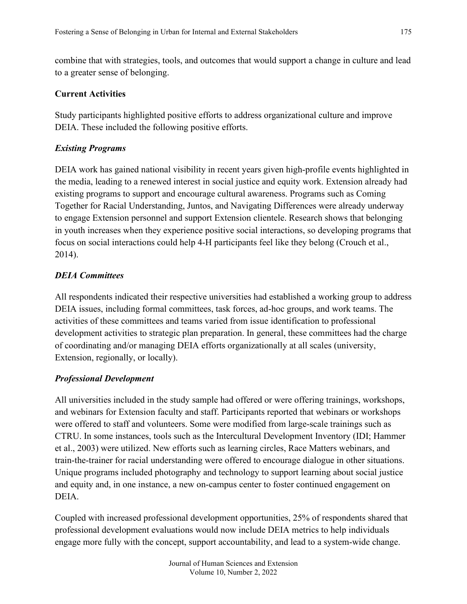combine that with strategies, tools, and outcomes that would support a change in culture and lead to a greater sense of belonging.

## **Current Activities**

Study participants highlighted positive efforts to address organizational culture and improve DEIA. These included the following positive efforts.

## *Existing Programs*

DEIA work has gained national visibility in recent years given high-profile events highlighted in the media, leading to a renewed interest in social justice and equity work. Extension already had existing programs to support and encourage cultural awareness. Programs such as Coming Together for Racial Understanding, Juntos, and Navigating Differences were already underway to engage Extension personnel and support Extension clientele. Research shows that belonging in youth increases when they experience positive social interactions, so developing programs that focus on social interactions could help 4-H participants feel like they belong (Crouch et al., 2014).

## *DEIA Committees*

All respondents indicated their respective universities had established a working group to address DEIA issues, including formal committees, task forces, ad-hoc groups, and work teams. The activities of these committees and teams varied from issue identification to professional development activities to strategic plan preparation. In general, these committees had the charge of coordinating and/or managing DEIA efforts organizationally at all scales (university, Extension, regionally, or locally).

## *Professional Development*

All universities included in the study sample had offered or were offering trainings, workshops, and webinars for Extension faculty and staff. Participants reported that webinars or workshops were offered to staff and volunteers. Some were modified from large-scale trainings such as CTRU. In some instances, tools such as the Intercultural Development Inventory (IDI; Hammer et al., 2003) were utilized. New efforts such as learning circles, Race Matters webinars, and train-the-trainer for racial understanding were offered to encourage dialogue in other situations. Unique programs included photography and technology to support learning about social justice and equity and, in one instance, a new on-campus center to foster continued engagement on DEIA.

Coupled with increased professional development opportunities, 25% of respondents shared that professional development evaluations would now include DEIA metrics to help individuals engage more fully with the concept, support accountability, and lead to a system-wide change.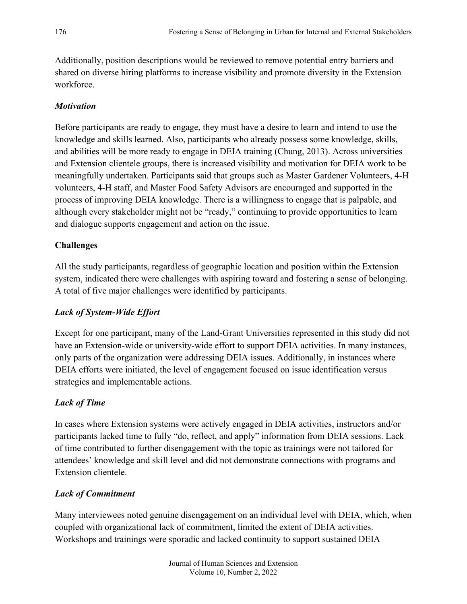Additionally, position descriptions would be reviewed to remove potential entry barriers and shared on diverse hiring platforms to increase visibility and promote diversity in the Extension workforce.

## *Motivation*

Before participants are ready to engage, they must have a desire to learn and intend to use the knowledge and skills learned. Also, participants who already possess some knowledge, skills, and abilities will be more ready to engage in DEIA training (Chung, 2013). Across universities and Extension clientele groups, there is increased visibility and motivation for DEIA work to be meaningfully undertaken. Participants said that groups such as Master Gardener Volunteers, 4-H volunteers, 4-H staff, and Master Food Safety Advisors are encouraged and supported in the process of improving DEIA knowledge. There is a willingness to engage that is palpable, and although every stakeholder might not be "ready," continuing to provide opportunities to learn and dialogue supports engagement and action on the issue.

## **Challenges**

All the study participants, regardless of geographic location and position within the Extension system, indicated there were challenges with aspiring toward and fostering a sense of belonging. A total of five major challenges were identified by participants.

## *Lack of System-Wide Effort*

Except for one participant, many of the Land-Grant Universities represented in this study did not have an Extension-wide or university-wide effort to support DEIA activities. In many instances, only parts of the organization were addressing DEIA issues. Additionally, in instances where DEIA efforts were initiated, the level of engagement focused on issue identification versus strategies and implementable actions.

## *Lack of Time*

In cases where Extension systems were actively engaged in DEIA activities, instructors and/or participants lacked time to fully "do, reflect, and apply" information from DEIA sessions. Lack of time contributed to further disengagement with the topic as trainings were not tailored for attendees' knowledge and skill level and did not demonstrate connections with programs and Extension clientele.

## *Lack of Commitment*

Many interviewees noted genuine disengagement on an individual level with DEIA, which, when coupled with organizational lack of commitment, limited the extent of DEIA activities. Workshops and trainings were sporadic and lacked continuity to support sustained DEIA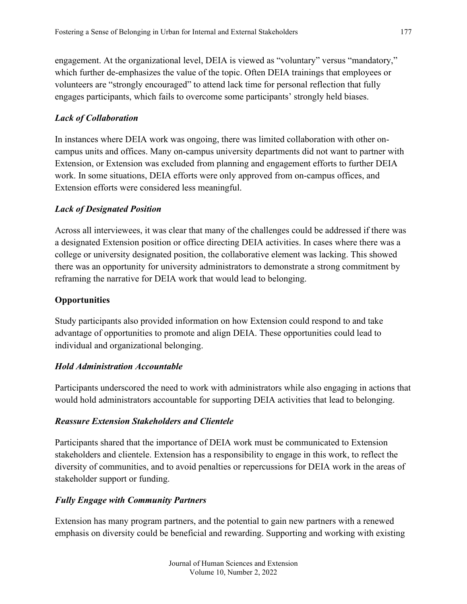engagement. At the organizational level, DEIA is viewed as "voluntary" versus "mandatory," which further de-emphasizes the value of the topic. Often DEIA trainings that employees or volunteers are "strongly encouraged" to attend lack time for personal reflection that fully engages participants, which fails to overcome some participants' strongly held biases.

## *Lack of Collaboration*

In instances where DEIA work was ongoing, there was limited collaboration with other oncampus units and offices. Many on-campus university departments did not want to partner with Extension, or Extension was excluded from planning and engagement efforts to further DEIA work. In some situations, DEIA efforts were only approved from on-campus offices, and Extension efforts were considered less meaningful.

## *Lack of Designated Position*

Across all interviewees, it was clear that many of the challenges could be addressed if there was a designated Extension position or office directing DEIA activities. In cases where there was a college or university designated position, the collaborative element was lacking. This showed there was an opportunity for university administrators to demonstrate a strong commitment by reframing the narrative for DEIA work that would lead to belonging.

## **Opportunities**

Study participants also provided information on how Extension could respond to and take advantage of opportunities to promote and align DEIA. These opportunities could lead to individual and organizational belonging.

## *Hold Administration Accountable*

Participants underscored the need to work with administrators while also engaging in actions that would hold administrators accountable for supporting DEIA activities that lead to belonging.

## *Reassure Extension Stakeholders and Clientele*

Participants shared that the importance of DEIA work must be communicated to Extension stakeholders and clientele. Extension has a responsibility to engage in this work, to reflect the diversity of communities, and to avoid penalties or repercussions for DEIA work in the areas of stakeholder support or funding.

## *Fully Engage with Community Partners*

Extension has many program partners, and the potential to gain new partners with a renewed emphasis on diversity could be beneficial and rewarding. Supporting and working with existing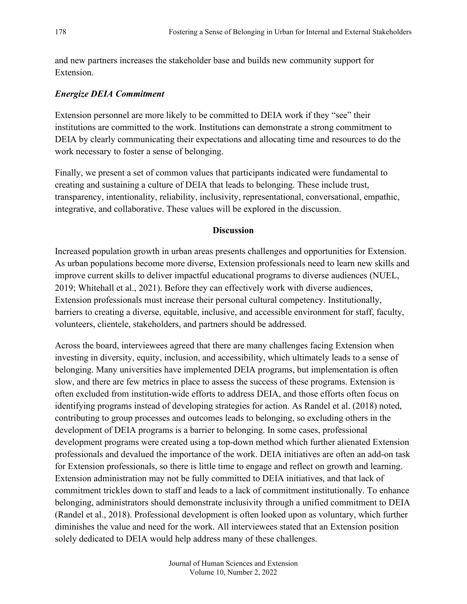and new partners increases the stakeholder base and builds new community support for Extension.

## *Energize DEIA Commitment*

Extension personnel are more likely to be committed to DEIA work if they "see" their institutions are committed to the work. Institutions can demonstrate a strong commitment to DEIA by clearly communicating their expectations and allocating time and resources to do the work necessary to foster a sense of belonging.

Finally, we present a set of common values that participants indicated were fundamental to creating and sustaining a culture of DEIA that leads to belonging. These include trust, transparency, intentionality, reliability, inclusivity, representational, conversational, empathic, integrative, and collaborative. These values will be explored in the discussion.

## **Discussion**

Increased population growth in urban areas presents challenges and opportunities for Extension. As urban populations become more diverse, Extension professionals need to learn new skills and improve current skills to deliver impactful educational programs to diverse audiences (NUEL, 2019; Whitehall et al., 2021). Before they can effectively work with diverse audiences, Extension professionals must increase their personal cultural competency. Institutionally, barriers to creating a diverse, equitable, inclusive, and accessible environment for staff, faculty, volunteers, clientele, stakeholders, and partners should be addressed.

Across the board, interviewees agreed that there are many challenges facing Extension when investing in diversity, equity, inclusion, and accessibility, which ultimately leads to a sense of belonging. Many universities have implemented DEIA programs, but implementation is often slow, and there are few metrics in place to assess the success of these programs. Extension is often excluded from institution-wide efforts to address DEIA, and those efforts often focus on identifying programs instead of developing strategies for action. As Randel et al. (2018) noted, contributing to group processes and outcomes leads to belonging, so excluding others in the development of DEIA programs is a barrier to belonging. In some cases, professional development programs were created using a top-down method which further alienated Extension professionals and devalued the importance of the work. DEIA initiatives are often an add-on task for Extension professionals, so there is little time to engage and reflect on growth and learning. Extension administration may not be fully committed to DEIA initiatives, and that lack of commitment trickles down to staff and leads to a lack of commitment institutionally. To enhance belonging, administrators should demonstrate inclusivity through a unified commitment to DEIA (Randel et al., 2018). Professional development is often looked upon as voluntary, which further diminishes the value and need for the work. All interviewees stated that an Extension position solely dedicated to DEIA would help address many of these challenges.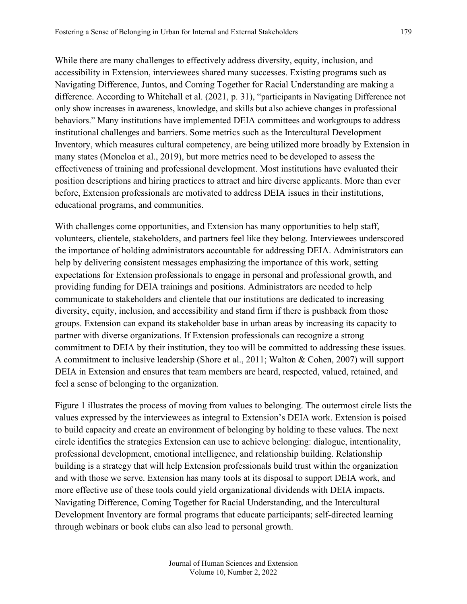While there are many challenges to effectively address diversity, equity, inclusion, and accessibility in Extension, interviewees shared many successes. Existing programs such as Navigating Difference, Juntos, and Coming Together for Racial Understanding are making a difference. According to Whitehall et al. (2021, p. 31), "participants in Navigating Difference not only show increases in awareness, knowledge, and skills but also achieve changes in professional behaviors." Many institutions have implemented DEIA committees and workgroups to address institutional challenges and barriers. Some metrics such as the Intercultural Development Inventory, which measures cultural competency, are being utilized more broadly by Extension in many states (Moncloa et al., 2019), but more metrics need to be developed to assess the effectiveness of training and professional development. Most institutions have evaluated their position descriptions and hiring practices to attract and hire diverse applicants. More than ever before, Extension professionals are motivated to address DEIA issues in their institutions, educational programs, and communities.

With challenges come opportunities, and Extension has many opportunities to help staff, volunteers, clientele, stakeholders, and partners feel like they belong. Interviewees underscored the importance of holding administrators accountable for addressing DEIA. Administrators can help by delivering consistent messages emphasizing the importance of this work, setting expectations for Extension professionals to engage in personal and professional growth, and providing funding for DEIA trainings and positions. Administrators are needed to help communicate to stakeholders and clientele that our institutions are dedicated to increasing diversity, equity, inclusion, and accessibility and stand firm if there is pushback from those groups. Extension can expand its stakeholder base in urban areas by increasing its capacity to partner with diverse organizations. If Extension professionals can recognize a strong commitment to DEIA by their institution, they too will be committed to addressing these issues. A commitment to inclusive leadership (Shore et al., 2011; Walton & Cohen, 2007) will support DEIA in Extension and ensures that team members are heard, respected, valued, retained, and feel a sense of belonging to the organization.

Figure 1 illustrates the process of moving from values to belonging. The outermost circle lists the values expressed by the interviewees as integral to Extension's DEIA work. Extension is poised to build capacity and create an environment of belonging by holding to these values. The next circle identifies the strategies Extension can use to achieve belonging: dialogue, intentionality, professional development, emotional intelligence, and relationship building. Relationship building is a strategy that will help Extension professionals build trust within the organization and with those we serve. Extension has many tools at its disposal to support DEIA work, and more effective use of these tools could yield organizational dividends with DEIA impacts. Navigating Difference, Coming Together for Racial Understanding, and the Intercultural Development Inventory are formal programs that educate participants; self-directed learning through webinars or book clubs can also lead to personal growth.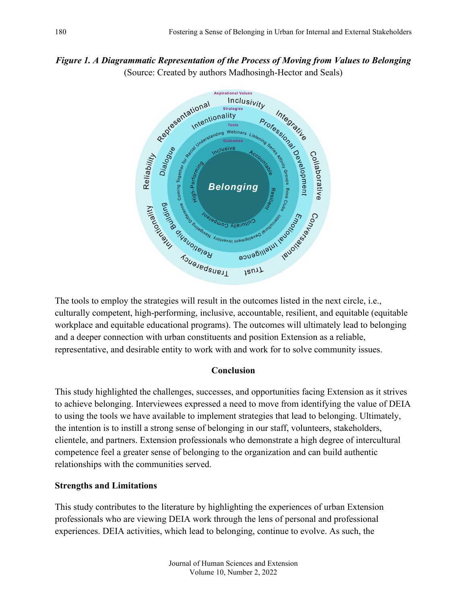# *Figure 1. A Diagrammatic Representation of the Process of Moving from Values to Belonging*  (Source: Created by authors Madhosingh-Hector and Seals)



The tools to employ the strategies will result in the outcomes listed in the next circle, i.e., culturally competent, high-performing, inclusive, accountable, resilient, and equitable (equitable workplace and equitable educational programs). The outcomes will ultimately lead to belonging and a deeper connection with urban constituents and position Extension as a reliable, representative, and desirable entity to work with and work for to solve community issues.

## **Conclusion**

This study highlighted the challenges, successes, and opportunities facing Extension as it strives to achieve belonging. Interviewees expressed a need to move from identifying the value of DEIA to using the tools we have available to implement strategies that lead to belonging. Ultimately, the intention is to instill a strong sense of belonging in our staff, volunteers, stakeholders, clientele, and partners. Extension professionals who demonstrate a high degree of intercultural competence feel a greater sense of belonging to the organization and can build authentic relationships with the communities served.

## **Strengths and Limitations**

This study contributes to the literature by highlighting the experiences of urban Extension professionals who are viewing DEIA work through the lens of personal and professional experiences. DEIA activities, which lead to belonging, continue to evolve. As such, the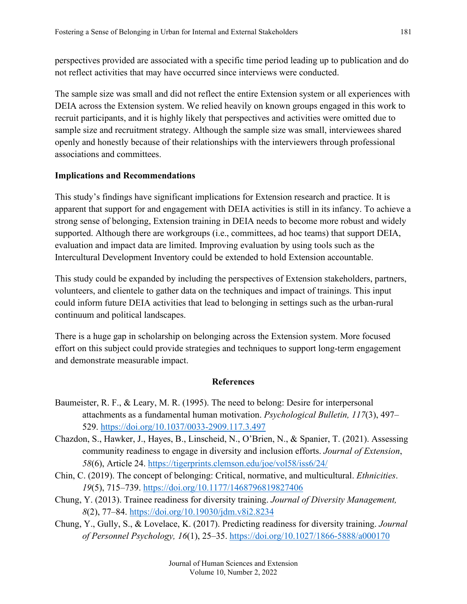perspectives provided are associated with a specific time period leading up to publication and do not reflect activities that may have occurred since interviews were conducted.

The sample size was small and did not reflect the entire Extension system or all experiences with DEIA across the Extension system. We relied heavily on known groups engaged in this work to recruit participants, and it is highly likely that perspectives and activities were omitted due to sample size and recruitment strategy. Although the sample size was small, interviewees shared openly and honestly because of their relationships with the interviewers through professional associations and committees.

## **Implications and Recommendations**

This study's findings have significant implications for Extension research and practice. It is apparent that support for and engagement with DEIA activities is still in its infancy. To achieve a strong sense of belonging, Extension training in DEIA needs to become more robust and widely supported. Although there are workgroups (i.e., committees, ad hoc teams) that support DEIA, evaluation and impact data are limited. Improving evaluation by using tools such as the Intercultural Development Inventory could be extended to hold Extension accountable.

This study could be expanded by including the perspectives of Extension stakeholders, partners, volunteers, and clientele to gather data on the techniques and impact of trainings. This input could inform future DEIA activities that lead to belonging in settings such as the urban-rural continuum and political landscapes.

There is a huge gap in scholarship on belonging across the Extension system. More focused effort on this subject could provide strategies and techniques to support long-term engagement and demonstrate measurable impact.

## **References**

- Baumeister, R. F., & Leary, M. R. (1995). The need to belong: Desire for interpersonal attachments as a fundamental human motivation. *Psychological Bulletin, 117*(3), 497– 529.<https://doi.org/10.1037/0033-2909.117.3.497>
- Chazdon, S., Hawker, J., Hayes, B., Linscheid, N., O'Brien, N., & Spanier, T. (2021). Assessing community readiness to engage in diversity and inclusion efforts. *Journal of Extension*, *58*(6), Article 24.<https://tigerprints.clemson.edu/joe/vol58/iss6/24/>
- Chin, C. (2019). The concept of belonging: Critical, normative, and multicultural. *Ethnicities*. *19*(5), 715–739. <https://doi.org/10.1177/1468796819827406>
- Chung, Y. (2013). Trainee readiness for diversity training. *Journal of Diversity Management, 8*(2), 77–84.<https://doi.org/10.19030/jdm.v8i2.8234>
- Chung, Y., Gully, S., & Lovelace, K. (2017). Predicting readiness for diversity training. *Journal of Personnel Psychology, 16*(1), 25–35. <https://doi.org/10.1027/1866-5888/a000170>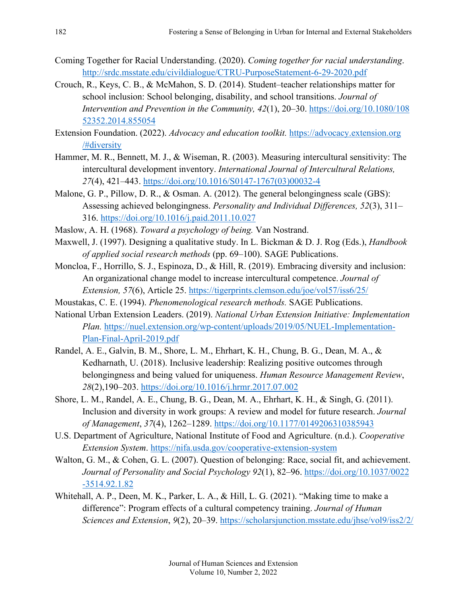- Coming Together for Racial Understanding. (2020). *Coming together for racial understanding*. <http://srdc.msstate.edu/civildialogue/CTRU-PurposeStatement-6-29-2020.pdf>
- Crouch, R., Keys, C. B., & McMahon, S. D. (2014). Student–teacher relationships matter for school inclusion: School belonging, disability, and school transitions. *Journal of Intervention and Prevention in the Community, 42*(1), 20–30. [https://doi.org/10.1080/108](https://doi.org/10.1080/10852352.2014.855054) [52352.2014.855054](https://doi.org/10.1080/10852352.2014.855054)
- Extension Foundation. (2022). *Advocacy and education toolkit.* [https://advocacy.extension.org](https://advocacy.extension.org/#diversity) [/#diversity](https://advocacy.extension.org/#diversity)
- Hammer, M. R., Bennett, M. J., & Wiseman, R. (2003). Measuring intercultural sensitivity: The intercultural development inventory. *International Journal of Intercultural Relations, 27*(4), 421–443. [https://doi.org/10.1016/S0147-1767\(03\)00032-4](https://doi.org/10.1016/S0147-1767(03)00032-4)
- Malone, G. P., Pillow, D. R., & Osman. A. (2012). The general belongingness scale (GBS): Assessing achieved belongingness. *Personality and Individual Differences, 52*(3), 311– 316. <https://doi.org/10.1016/j.paid.2011.10.027>
- Maslow, A. H. (1968). *Toward a psychology of being.* Van Nostrand.
- Maxwell, J. (1997). Designing a qualitative study. In L. Bickman & D. J. Rog (Eds.), *Handbook of applied social research methods* (pp. 69–100). SAGE Publications.
- Moncloa, F., Horrillo, S. J., Espinoza, D., & Hill, R. (2019). Embracing diversity and inclusion: An organizational change model to increase intercultural competence. *Journal of Extension, 57*(6), Article 25. <https://tigerprints.clemson.edu/joe/vol57/iss6/25/>
- Moustakas, C. E. (1994). *Phenomenological research methods.* SAGE Publications.
- National Urban Extension Leaders. (2019). *National Urban Extension Initiative: Implementation Plan.* [https://nuel.extension.org/wp-content/uploads/2019/05/NUEL-Implementation-](https://nuel.extension.org/wp-content/uploads/2019/05/NUEL-Implementation-Plan-Final-April-2019.pdf)[Plan-Final-April-2019.pdf](https://nuel.extension.org/wp-content/uploads/2019/05/NUEL-Implementation-Plan-Final-April-2019.pdf)
- Randel, A. E., Galvin, B. M., Shore, L. M., Ehrhart, K. H., Chung, B. G., Dean, M. A., & Kedharnath, U. (2018). Inclusive leadership: Realizing positive outcomes through belongingness and being valued for uniqueness. *Human Resource Management Review*, *28*(2),190–203.<https://doi.org/10.1016/j.hrmr.2017.07.002>
- Shore, L. M., Randel, A. E., Chung, B. G., Dean, M. A., Ehrhart, K. H., & Singh, G. (2011). Inclusion and diversity in work groups: A review and model for future research. *Journal of Management*, *37*(4), 1262–1289.<https://doi.org/10.1177/0149206310385943>
- U.S. Department of Agriculture, National Institute of Food and Agriculture. (n.d.). *Cooperative Extension System*.<https://nifa.usda.gov/cooperative-extension-system>
- Walton, G. M., & Cohen, G. L. (2007). Question of belonging: Race, social fit, and achievement. *Journal of Personality and Social Psychology 92*(1), 82–96. [https://doi.org/10.1037/0022](https://doi.org/10.1037/0022-3514.92.1.82) [-3514.92.1.82](https://doi.org/10.1037/0022-3514.92.1.82)
- Whitehall, A. P., Deen, M. K., Parker, L. A., & Hill, L. G. (2021). "Making time to make a difference": Program effects of a cultural competency training. *Journal of Human Sciences and Extension*, *9*(2), 20–39. <https://scholarsjunction.msstate.edu/jhse/vol9/iss2/2/>